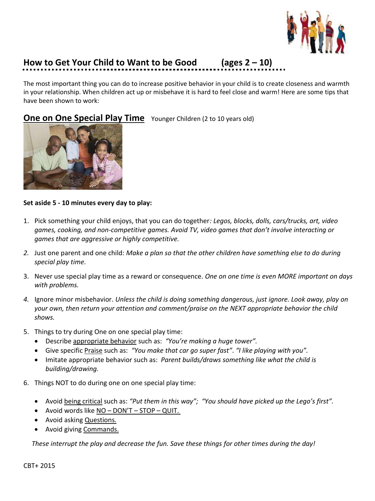

## **How to Get Your Child to Want to be Good (ages 2 – 10)**

The most important thing you can do to increase positive behavior in your child is to create closeness and warmth in your relationship. When children act up or misbehave it is hard to feel close and warm! Here are some tips that have been shown to work:

**One on One Special Play Time** Younger Children (2 to 10 years old)



## **Set aside 5 - 10 minutes every day to play:**

- 1. Pick something your child enjoys, that you can do together*: Legos, blocks, dolls, cars/trucks, art, video games, cooking, and non-competitive games. Avoid TV, video games that don't involve interacting or games that are aggressive or highly competitive.*
- *2.* Just one parent and one child: *Make a plan so that the other children have something else to do during special play time.*
- 3. Never use special play time as a reward or consequence. *One on one time is even MORE important on days with problems.*
- *4.* Ignore minor misbehavior. *Unless the child is doing something dangerous, just ignore. Look away, play on your own, then return your attention and comment/praise on the NEXT appropriate behavior the child shows.*
- 5. Things to try during One on one special play time:
	- Describe appropriate behavior such as: *"You're making a huge tower".*
	- Give specific Praise such as: *"You make that car go super fast"*. *"I like playing with you".*
	- Imitate appropriate behavior such as: *Parent builds/draws something like what the child is building/drawing.*
- 6. Things NOT to do during one on one special play time:
	- Avoid being critical such as: *"Put them in this way"; "You should have picked up the Lego's first".*
	- Avoid words like NO DON'T STOP QUIT.
	- Avoid asking Questions.
	- Avoid giving Commands.

*These interrupt the play and decrease the fun. Save these things for other times during the day!*